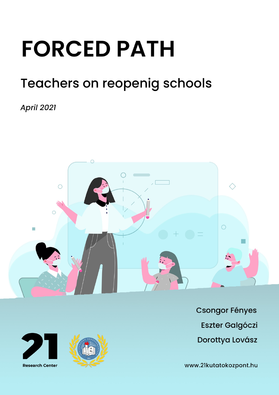# **FORCED PATH**

# **Teachers on reopenig schools**

**April 2021** 







**Csongor Fényes Eszter Galgóczi** Dorottya Lovász

www.21kutatokozpont.hu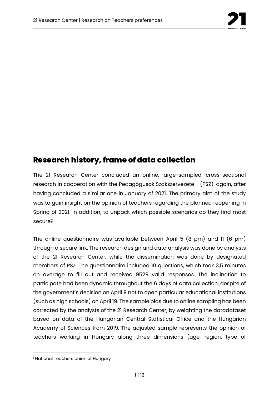

# **Research history, frame of data collection**

The 21 Research Center concluded an online, large-sampled, cross-sectional research in cooperation with the Pedagógusok Szakszervezete - (PSZ)<sup>1</sup> again, after having concluded a similar one in January of 2021. The primary aim of the study was to gain insight on the opinion of teachers regarding the planned reopening in Spring of 2021. In addition, to unpack which possible scenarios do they find most secure?

The online questionnaire was available between April 5 (8 pm) and 11 (6 pm) through a secure link. The research design and data analysis was done by analysts of the 21 Research Center, while the dissemination was done by designated members of PSZ. The questionnaire included 10 questions, which took 3,5 minutes on average to fill out and received 9529 valid responses. The inclination to participate had been dynamic throughout the 6 days of data collection, despite of the government's decision on April 9 not to open particular educational institutions (such as high schools) on April 19. The sample bias due to online sampling has been corrected by the analysts of the 21 Research Center, by weighting the datadataset based on data of the Hungarian Central Statistical Office and the Hungarian Academy of Sciences from 2019. The adjusted sample represents the opinion of teachers working in Hungary along three dimensions (age, region, type of

<sup>&</sup>lt;sup>1</sup> National Teachers Union of Hungary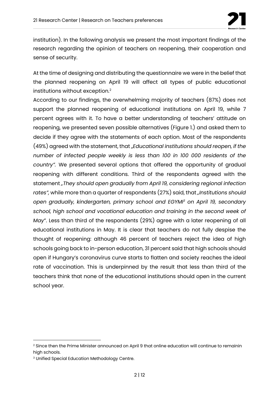

institution). In the following analysis we present the most important findings of the research regarding the opinion of teachers on reopening, their cooperation and sense of security.

At the time of designing and distributing the questionnaire we were in the belief that the planned reopening on April 19 will affect all types of public educational institutions without exception. $2$ 

According to our findings, the overwhelming majority of teachers (87%) does not support the planned reopening of educational institutions on April 19, while 7 percent agrees with it. To have a better understanding of teachers' attitude on reopening, we presented seven possible alternatives (Figure 1.) and asked them to decide if they agree with the statements of each option. Most of the respondents (49%) agreed with the statement, that "*Educational institutions should reopen, if the number of infected people weekly is less than 100 in 100 000 residents of the country".* We presented several options that offered the opportunity of gradual reopening with different conditions. Third of the respondents agreed with the statement *"They should open gradually from April 19, considering regional infection rates",* while more than a quarter of respondents (27%) said, that *"Institutions should open gradually, kindergarten, primary school and EGYMI3 on April 19, secondary school, high school and vocational education and training in the second week of May*". Less than third of the respondents (29%) agree with a later reopening of all educational institutions in May. It is clear that teachers do not fully despise the thought of reopening: although 46 percent of teachers reject the idea of high schools going back to in-person education, 31 percent said that high schools should open if Hungary's coronavirus curve starts to flatten and society reaches the ideal rate of vaccination. This is underpinned by the result that less than third of the teachers think that none of the educational institutions should open in the current school year.

<sup>&</sup>lt;sup>2</sup> Since then the Prime Minister announced on April 9 that online education will continue to remainin high schools.

<sup>3</sup> Unified Special Education Methodology Centre.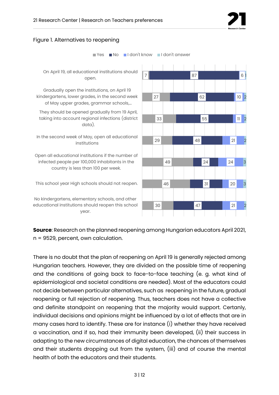

#### Figure 1. Alternatives to reopening



**Source**: Research on the planned reopening among Hungarian educators April 2021, n = 9529, percent, own calculation.

There is no doubt that the plan of reopening on April 19 is generally rejected among Hungarian teachers. However, they are divided on the possible time of reopening and the conditions of going back to face-to-face teaching (e. g. what kind of epidemiological and societal conditions are needed). Most of the educators could not decide between particular alternatives, such as reopening in the future, gradual reopening or full rejection of reopening. Thus, teachers does not have a collective and definite standpoint on reopening that the majority would support. Certanly, individual decisions and opinions might be influenced by a lot of effects that are in many cases hard to identify. These are for instance (i) whether they have received a vaccination, and if so, had their immunity been developed, (ii) their success in adapting to the new circumstances of digital education, the chances of themselves and their students dropping out from the system, (iii) and of course the mental health of both the educators and their students.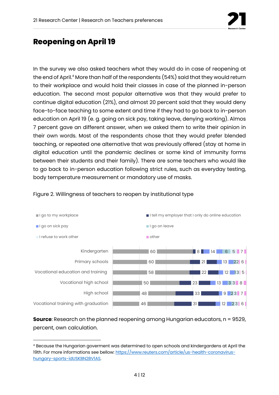

### **Reopening on April 19**

In the survey we also asked teachers what they would do in case of reopening at the end of April.4 More than half of the respondents (54%) said that they would return to their workplace and would hold their classes in case of the planned in-person education. The second most popular alternative was that they would prefer to continue digital education (21%), and almost 20 percent said that they would deny face-to-face teaching to some extent and time if they had to go back to in-person education on April 19 (e. g. going on sick pay, taking leave, denying working). Almos 7 percent gave an different answer, when we asked them to write their opinion in their own words. Most of the respondents chose that they would prefer blended teaching, or repeated one alternative that was previously offered (stay at home in digital education until the pandemic declines or some kind of immunity forms between their students and their family). There are some teachers who would like to go back to in-person education following strict rules, such as everyday testing, body temperature measurement or mandatory use of masks.



#### Figure 2. Willingness of teachers to reopen by institutional type

**Source**: Research on the planned reopening among Hungarian educators, n = 9529, percent, own calculation.

<sup>4</sup> Because the Hungarian goverment was determined to open schools and kindergardens at April the 19th. For more informations see bellow: https://www.reuters.com/article/us-health-coronavirushungary-sports-idUSKBN2BV1AS.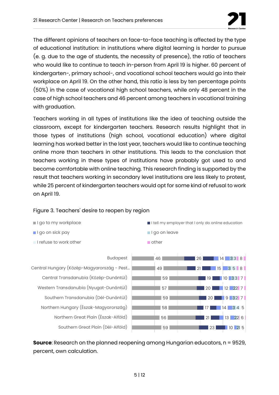

The different opinions of teachers on face-to-face teaching is affected by the type of educational institution: in institutions where digital learning is harder to pursue (e. g. due to the age of students, the necessity of presence), the ratio of teachers who would like to continue to teach in-person from April 19 is higher. 60 percent of kindergarten-, primary school-, and vocational school teachers would go into their workplace on April 19. On the other hand, this ratio is less by ten percentage points (50%) in the case of vocational high school teachers, while only 48 percent in the case of high school teachers and 46 percent among teachers in vocational training with graduation.

Teachers working in all types of institutions like the idea of teaching outside the classroom, except for kindergarten teachers. Research results highlight that in those types of institutions (high school, vocational education) where digital learning has worked better in the last year, teachers would like to continue teaching online more than teachers in other institutions. This leads to the conclusion that teachers working in these types of institutions have probably got used to and become comfortable with online teaching. This research finding is supported by the result that teachers working in secondary level institutions are less likely to protest, while 25 percent of kindergarten teachers would opt for some kind of refusal to work on April 19.



#### Figure 3. Teachers' desire to reopen by region

**Source**: Research on the planned reopening among Hungarian educators, n = 9529, percent, own calculation.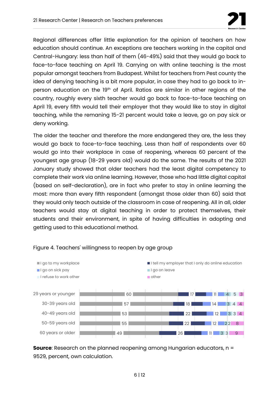

Regional differences offer little explanation for the opinion of teachers on how education should continue. An exceptions are teachers working in the capital and Central-Hungary: less than half of them (46-49%) said that they would go back to face-to-face teaching on April 19. Carrying on with online teaching is the most popular amongst teachers from Budapest. Whilst for teachers from Pest county the idea of denying teaching is a bit more popular, in case they had to go back to inperson education on the 19<sup>th</sup> of April. Ratios are similar in other regions of the country, roughly every sixth teacher would go back to face-to-face teaching on April 19, every fifth would tell their employer that they would like to stay in digital teaching, while the remaning 15-21 percent would take a leave, go on pay sick or deny working.

The older the teacher and therefore the more endangered they are, the less they would go back to face-to-face teaching. Less than half of respondents over 60 would go into their workplace in case of reopening, whereas 60 percent of the youngest age group (18-29 years old) would do the same. The results of the 2021 January study showed that older teachers had the least digital competency to complete their work via online learning. However, those who had little digital capital (based on self-declaration), are in fact who prefer to stay in online learning the most: more than every fifth respondent (amongst those older than 60) said that they would only teach outside of the classroom in case of reopening. All in all, older teachers would stay at digital teaching in order to protect themselves, their students and their environment, in spite of having difficulties in adopting and getting used to this educational method.



#### Figure 4. Teachers' willingness to reopen by age group

**Source**: Research on the planned reopening among Hungarian educators, n = 9529, percent, own calculation.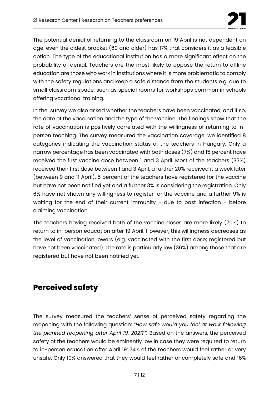

The potential denial of returning to the classroom on 19 April is not dependent on age: even the oldest bracket (60 and older) has 17% that considers it as a feasible option. The type of the educational institution has a more significant effect on the probability of denial. Teachers are the most likely to oppose the return to offline education are those who work in institutions where it is more problematic to comply with the safety regulations and keep a safe distance from the students e.g. due to small classroom space, such as special rooms for workshops common in schools offering vocational training.

In the survey we also asked whether the teachers have been vaccinated, and if so, the date of the vaccination and the type of the vaccine. The findings show that the rate of vaccination is positively correlated with the willingness of returning to inperson teaching. The survey measured the vaccination coverage: we identified 8 categories indicating the vaccination status of the teachers in Hungary. Only a narrow percentage has been vaccinated with both doses (7%) and 15 percent have received the first vaccine dose between 1 and 3 April. Most of the teachers (33%) received their first dose between 1 and 3 April, a further 20% received it a week later (between 9 and 11 April). 5 percent of the teachers have registered for the vaccine but have not been notified yet and a further 3% is considering the registration. Only 6% have not shown any willingness to register for the vaccine and a further 9% is waiting for the end of their current immunity - due to past infection - before claiming vaccination.

The teachers having received both of the vaccine doses are more likely (70%) to return to in-person education after 19 April. However, this willingness decreases as the level of vaccination lowers (e.g. vaccinated with the first dose; registered but have not been vaccinated). The rate is particularly low (36%) among those that are registered but have not been notified yet.

# **Perceived safety**

The survey measured the teachers' sense of perceived safety regarding the reopening with the following question: *"How safe would you feel at work following the planned reopening after April 19, 2021?".* Based on the answers, the perceived safety of the teachers would be eminently low in case they were required to return to in-person education after April 19: 74% of the teachers would feel rather or very unsafe. Only 10% answered that they would feel rather or completely safe and 16%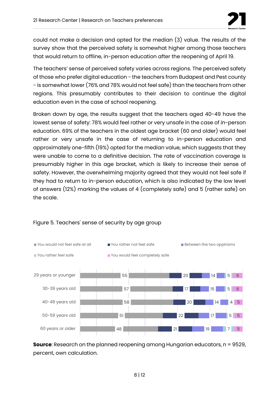

could not make a decision and opted for the median (3) value. The results of the survey show that the perceived safety is somewhat higher among those teachers that would return to offline, in-person education after the reopening of April 19.

The teachers' sense of perceived safety varies across regions. The perceived safety of those who prefer digital education - the teachers from Budapest and Pest county - is somewhat lower (76% and 78% would not feel safe) than the teachers from other regions. This presumably contributes to their decision to continue the digital education even in the case of school reopening.

Broken down by age, the results suggest that the teachers aged 40-49 have the lowest sense of safety: 78% would feel rather or very unsafe in the case of in-person education. 69% of the teachers in the oldest age bracket (60 and older) would feel rather or very unsafe in the case of returning to in-person education and approximately one-fifth (19%) opted for the median value, which suggests that they were unable to come to a definitive decision. The rate of vaccination coverage is presumably higher in this age bracket, which is likely to increase their sense of safety. However, the overwhelming majority agreed that they would not feel safe if they had to return to in-person education, which is also indicated by the low level of answers (12%) marking the values of 4 (completely safe) and 5 (rather safe) on the scale.



#### Figure 5. Teachers' sense of security by age group

**Source**: Research on the planned reopening among Hungarian educators, n = 9529, percent, own calculation.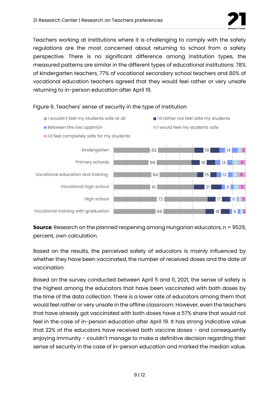

Teachers working at institutions where it is challenging to comply with the safety regulations are the most concerned about returning to school from a safety perspective. There is no significant difference among institution types, the measured patterns are similar in the different types of educational institutions: 78% of kindergarten teachers, 77% of vocational secondary school teachers and 80% of vocational education teachers agreed that they would feel rather or very unsafe returning to in-person education after April 19.

#### Figure 6. Teachers' sense of security in the type of institution

- I wouldn't feel my students safe at all III I'd rather not feel safe my students
- Between the two oppinion **I would feel my students safe**
- I'd feel completely safe for my students



**Source**: Research on the planned reopening among Hungarian educators, n = 9529, percent, own calculation.

Based on the results, the perceived safety of educators is mainly influenced by whether they have been vaccinated, the number of received doses and the date of vaccination.

Based on the survey conducted between April 5 and 11, 2021, the sense of safety is the highest among the educators that have been vaccinated with both doses by the time of the data collection. There is a lower rate of educators among them that would feel rather or very unsafe in the offline classroom. However, even the teachers that have already got vaccinated with both doses have a 57% share that would not feel in the case of in-person education after April 19. It has strong indicative value that 22% of the educators have received both vaccine doses - and consequently enjoying immunity - couldn't manage to make a definitive decision regarding their sense of security in the case of in-person education and marked the median value.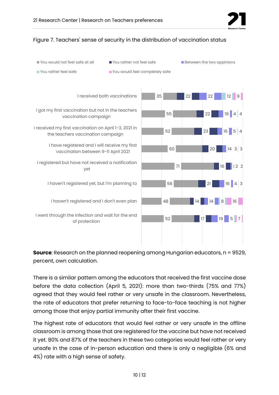

#### Figure 7. Teachers' sense of security in the distribution of vaccination status



**Source**: Research on the planned reopening among Hungarian educators, n = 9529, percent, own calculation.

There is a similar pattern among the educators that received the first vaccine dose before the data collection (April 5, 2021): more than two-thirds (75% and 77%) agreed that they would feel rather or very unsafe in the classroom. Nevertheless, the rate of educators that prefer returning to face-to-face teaching is not higher among those that enjoy partial immunity after their first vaccine.

The highest rate of educators that would feel rather or very unsafe in the offline classroom is among those that are registered for the vaccine but have not received it yet. 80% and 87% of the teachers in these two categories would feel rather or very unsafe in the case of in-person education and there is only a negligible (6% and 4%) rate with a high sense of safety.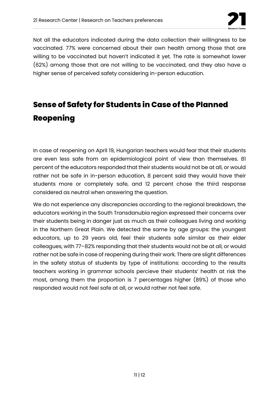

Not all the educators indicated during the data collection their willingness to be vaccinated. 77% were concerned about their own health among those that are willing to be vaccinated but haven't indicated it yet. The rate is somewhat lower (62%) among those that are not willing to be vaccinated, and they also have a higher sense of perceived safety considering in-person education.

# **Sense of Safety for Students in Case of the Planned Reopening**

In case of reopening on April 19, Hungarian teachers would fear that their students are even less safe from an epidemiological point of view than themselves. 81 percent of the educators responded that their students would not be at all, or would rather not be safe in in-person education, 8 percent said they would have their students more or completely safe, and 12 percent chose the third response considered as neutral when answering the question.

We do not experience any discrepancies according to the regional breakdown, the educators working in the South Transdanubia region expressed their concerns over their students being in danger just as much as their colleagues living and working in the Northern Great Plain. We detected the same by age groups: the youngest educators, up to 29 years old, feel their students safe similar as their elder colleagues, with 77–82% responding that their students would not be at all, or would rather not be safe in case of reopening during their work. There are slight differences in the safety status of students by type of institutions: according to the results teachers working in grammar schools percieve their students' health at risk the most, among them the proportion is 7 percentages higher (89%) of those who responded would not feel safe at all, or would rather not feel safe.